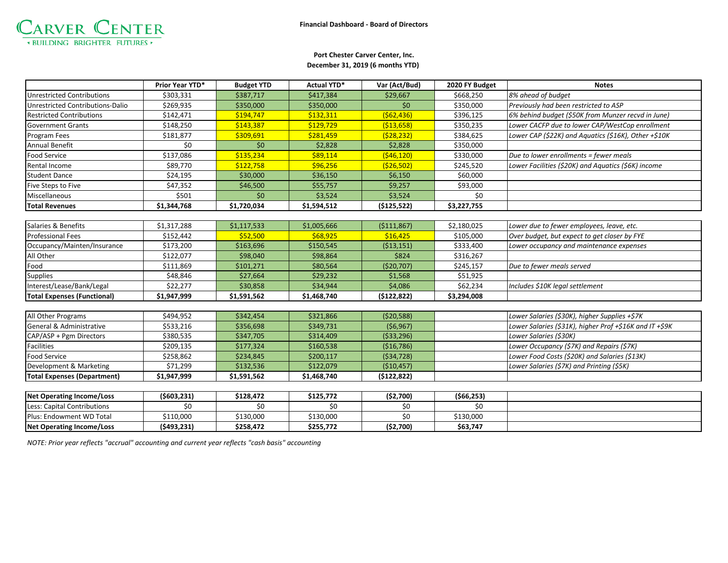

## **December 31, 2019 (6 months YTD) Port Chester Carver Center, Inc.**

|                                    | Prior Year YTD* | <b>Budget YTD</b> | <b>Actual YTD*</b> | Var (Act/Bud) | 2020 FY Budget | <b>Notes</b>                                            |
|------------------------------------|-----------------|-------------------|--------------------|---------------|----------------|---------------------------------------------------------|
| <b>Unrestricted Contributions</b>  | \$303,331       | \$387,717         | \$417,384          | \$29,667      | \$668,250      | 8% ahead of budget                                      |
| Unrestricted Contributions-Dalio   | \$269,935       | \$350,000         | \$350,000          | \$0           | \$350,000      | Previously had been restricted to ASP                   |
| <b>Restricted Contributions</b>    | \$142,471       | \$194,747         | \$132,311          | (562, 436)    | \$396,125      | 6% behind budget (\$50K from Munzer recvd in June)      |
| <b>Government Grants</b>           | \$148,250       | \$143,387         | \$129,729          | ( \$13,658)   | \$350,235      | Lower CACFP due to lower CAP/WestCop enrollment         |
| Program Fees                       | \$181,877       | \$309,691         | \$281,459          | (528, 232)    | \$384,625      | Lower CAP (\$22K) and Aquatics (\$16K), Other +\$10K    |
| <b>Annual Benefit</b>              | \$0             | \$0               | \$2,828            | \$2,828       | \$350,000      |                                                         |
| <b>Food Service</b>                | \$137,086       | \$135,234         | \$89,114           | (546, 120)    | \$330,000      | Due to lower enrollments = fewer meals                  |
| Rental Income                      | \$89,770        | \$122,758         | \$96,256           | ( \$26, 502)  | \$245,520      | Lower Facilities (\$20K) and Aquatics (\$6K) income     |
| <b>Student Dance</b>               | \$24,195        | \$30,000          | \$36,150           | \$6,150       | \$60,000       |                                                         |
| Five Steps to Five                 | \$47,352        | \$46,500          | \$55,757           | \$9,257       | \$93,000       |                                                         |
| Miscellaneous                      | \$501           | \$0               | \$3,524            | \$3,524       | \$0            |                                                         |
| <b>Total Revenues</b>              | \$1,344,768     | \$1,720,034       | \$1,594,512        | ( \$125, 522) | \$3,227,755    |                                                         |
|                                    |                 |                   |                    |               |                |                                                         |
| Salaries & Benefits                | \$1,317,288     | \$1,117,533       | \$1,005,666        | ( \$111, 867) | \$2,180,025    | Lower due to fewer employees, leave, etc.               |
| <b>Professional Fees</b>           | \$152,442       | \$52,500          | \$68,925           | \$16,425      | \$105,000      | Over budget, but expect to get closer by FYE            |
| Occupancy/Mainten/Insurance        | \$173,200       | \$163,696         | \$150,545          | ( \$13,151)   | \$333,400      | Lower occupancy and maintenance expenses                |
| All Other                          | \$122,077       | \$98,040          | \$98,864           | \$824         | \$316,267      |                                                         |
| Food                               | \$111,869       | \$101,271         | \$80,564           | (\$20,707)    | \$245,157      | Due to fewer meals served                               |
| <b>Supplies</b>                    | \$48,846        | \$27,664          | \$29,232           | \$1,568       | \$51,925       |                                                         |
| Interest/Lease/Bank/Legal          | \$22,277        | \$30,858          | \$34,944           | \$4,086       | \$62,234       | Includes \$10K legal settlement                         |
| <b>Total Expenses (Functional)</b> | \$1,947,999     | \$1,591,562       | \$1,468,740        | (\$122,822)   | \$3,294,008    |                                                         |
|                                    |                 |                   |                    |               |                |                                                         |
| All Other Programs                 | \$494,952       | \$342,454         | \$321,866          | (520, 588)    |                | Lower Salaries (\$30K), higher Supplies +\$7K           |
| General & Administrative           | \$533,216       | \$356,698         | \$349,731          | (56, 967)     |                | Lower Salaries (\$31K), higher Prof +\$16K and IT +\$9K |
| CAP/ASP + Pgm Directors            | \$380,535       | \$347,705         | \$314,409          | ( \$33, 296)  |                | Lower Salaries (\$30K)                                  |
| <b>Facilities</b>                  | \$209,135       | \$177,324         | \$160,538          | ( \$16,786)   |                | Lower Occupancy (\$7K) and Repairs (\$7K)               |
| <b>Food Service</b>                | \$258,862       | \$234,845         | \$200,117          | (534, 728)    |                | Lower Food Costs (\$20K) and Salaries (\$13K)           |
| Development & Marketing            | \$71,299        | \$132,536         | \$122,079          | ( \$10,457)   |                | Lower Salaries (\$7K) and Printing (\$5K)               |
| <b>Total Expenses (Department)</b> | \$1,947,999     | \$1,591,562       | \$1,468,740        | (\$122,822)   |                |                                                         |
|                                    |                 |                   |                    |               |                |                                                         |
| <b>Net Operating Income/Loss</b>   | ( \$603, 231)   | \$128,472         | \$125,772          | ( \$2,700)    | ( \$66, 253)   |                                                         |
| Less: Capital Contributions        | \$0             | \$0               | \$0                | \$0           | \$0            |                                                         |
| Plus: Endowment WD Total           | \$110,000       | \$130,000         | \$130,000          | \$0           | \$130,000      |                                                         |
| <b>Net Operating Income/Loss</b>   | (\$493,231)     | \$258,472         | \$255,772          | ( \$2,700)    | \$63,747       |                                                         |

*NOTE: Prior year reflects "accrual" accounting and current year reflects "cash basis" accounting*